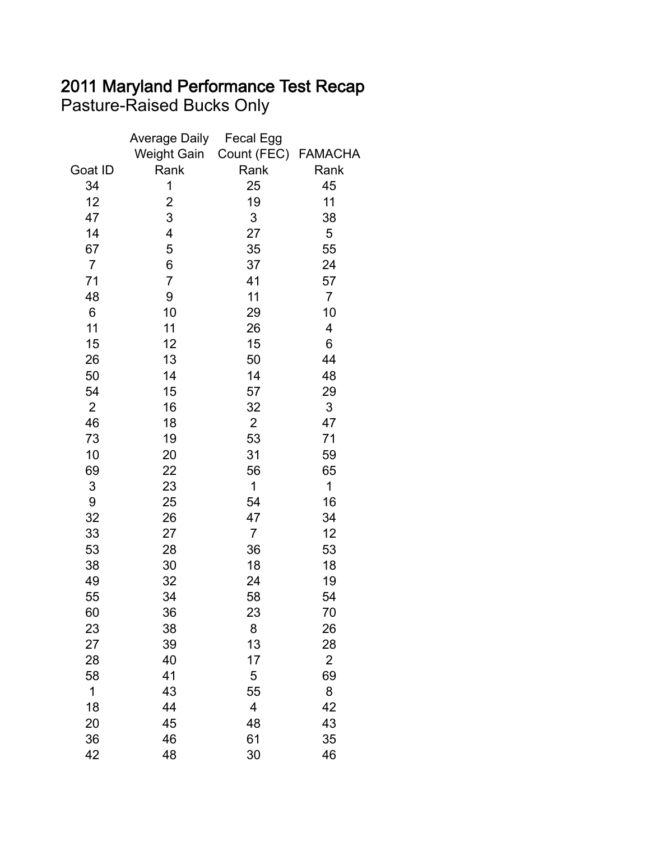## 2011 Maryland Performance Test Recap Pasture-Raised Bucks Only

|                | <b>Average Daily</b>    | <b>Fecal Egg</b>    |                |
|----------------|-------------------------|---------------------|----------------|
|                | <b>Weight Gain</b>      | Count (FEC) FAMACHA |                |
| Goat ID        | Rank                    | Rank                | Rank           |
| 34             | 1                       | 25                  | 45             |
| 12             | $\overline{\mathbf{c}}$ | 19                  | 11             |
| 47             | 3                       | 3                   | 38             |
| 14             | 4                       | 27                  | 5              |
| 67             | 5                       | 35                  | 55             |
| $\overline{7}$ | 6                       | 37                  | 24             |
| 71             | 7                       | 41                  | 57             |
| 48             | 9                       | 11                  | $\overline{7}$ |
| 6              | 10                      | 29                  | 10             |
| 11             | 11                      | 26                  | 4              |
| 15             | 12                      | 15                  | 6              |
| 26             | 13                      | 50                  | 44             |
| 50             | 14                      | 14                  | 48             |
| 54             | 15                      | 57                  | 29             |
| 2              | 16                      | 32                  | 3              |
| 46             | 18                      | $\overline{2}$      | 47             |
| 73             | 19                      | 53                  | 71             |
| 10             | 20                      | 31                  | 59             |
| 69             | 22                      | 56                  | 65             |
| 3              | 23                      | 1                   | $\mathbf 1$    |
| 9              | 25                      | 54                  | 16             |
| 32             | 26                      | 47                  | 34             |
| 33             | 27                      | $\overline{7}$      | 12             |
| 53             | 28                      | 36                  | 53             |
| 38             | 30                      | 18                  | 18             |
| 49             | 32                      | 24                  | 19             |
| 55             | 34                      | 58                  | 54             |
| 60             | 36                      | 23                  | 70             |
| 23             | 38                      | 8                   | 26             |
| 27             | 39                      | 13                  | 28             |
| 28             | 40                      | 17                  | $\overline{2}$ |
| 58             | 41                      | 5                   | 69             |
| 1              | 43                      | 55                  | 8              |
| 18             | 44                      | 4                   | 42             |
| 20             | 45                      | 48                  | 43             |
| 36             | 46                      | 61                  | 35             |
| 42             | 48                      | 30                  | 46             |